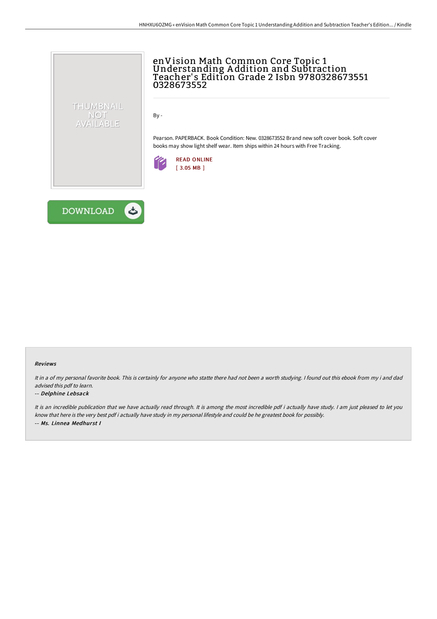

## enVision Math Common Core Topic 1 Understanding A ddition and Subtraction Teacher' s Edition Grade 2 Isbn 9780328673551 0328673552

By -

Pearson. PAPERBACK. Book Condition: New. 0328673552 Brand new soft cover book. Soft cover books may show light shelf wear. Item ships within 24 hours with Free Tracking.





#### Reviews

It in <sup>a</sup> of my personal favorite book. This is certainly for anyone who statte there had not been <sup>a</sup> worth studying. <sup>I</sup> found out this ebook from my i and dad advised this pdf to learn.

#### -- Delphine Lebsack

It is an incredible publication that we have actually read through. It is among the most incredible pdf i actually have study. <sup>I</sup> am just pleased to let you know that here is the very best pdf i actually have study in my personal lifestyle and could be he greatest book for possibly. -- Ms. Linnea Medhurst I